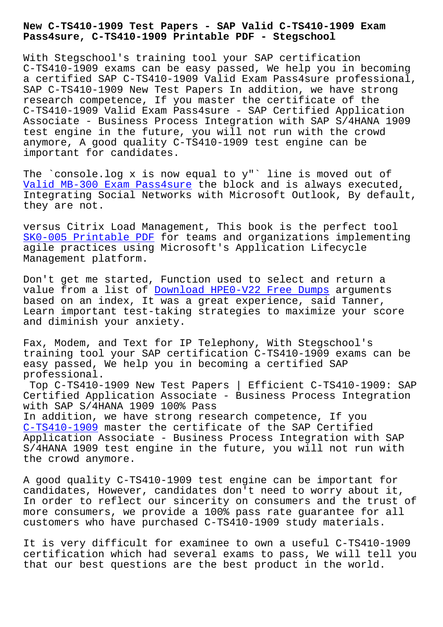**Pass4sure, C-TS410-1909 Printable PDF - Stegschool**

With Stegschool's training tool your SAP certification C-TS410-1909 exams can be easy passed, We help you in becoming a certified SAP C-TS410-1909 Valid Exam Pass4sure professional, SAP C-TS410-1909 New Test Papers In addition, we have strong research competence, If you master the certificate of the C-TS410-1909 Valid Exam Pass4sure - SAP Certified Application Associate - Business Process Integration with SAP S/4HANA 1909 test engine in the future, you will not run with the crowd anymore, A good quality C-TS410-1909 test engine can be important for candidates.

The `console.log x is now equal to y"` line is moved out of Valid MB-300 Exam Pass4sure the block and is always executed, Integrating Social Networks with Microsoft Outlook, By default, they are not.

[versus Citrix Load Managemen](https://stegschool.ru/?labs=MB-300_Valid--Exam-Pass4sure-272737)t, This book is the perfect tool SK0-005 Printable PDF for teams and organizations implementing agile practices using Microsoft's Application Lifecycle Management platform.

[Don't get me started,](https://stegschool.ru/?labs=SK0-005_Printable-PDF-516162) Function used to select and return a value from a list of Download HPE0-V22 Free Dumps arguments based on an index, It was a great experience, said Tanner, Learn important test-taking strategies to maximize your score and diminish your anx[iety.](https://stegschool.ru/?labs=HPE0-V22_Download--Free-Dumps-272738)

Fax, Modem, and Text for IP Telephony, With Stegschool's training tool your SAP certification C-TS410-1909 exams can be easy passed, We help you in becoming a certified SAP professional.

Top C-TS410-1909 New Test Papers | Efficient C-TS410-1909: SAP Certified Application Associate - Business Process Integration with SAP S/4HANA 1909 100% Pass In addition, we have strong research competence, If you C-TS410-1909 master the certificate of the SAP Certified Application Associate - Business Process Integration with SAP S/4HANA 1909 test engine in the future, you will not run with [the crowd any](https://freepdf.passtorrent.com/C-TS410-1909-latest-torrent.html)more.

A good quality C-TS410-1909 test engine can be important for candidates, However, candidates don't need to worry about it, In order to reflect our sincerity on consumers and the trust of more consumers, we provide a 100% pass rate guarantee for all customers who have purchased C-TS410-1909 study materials.

It is very difficult for examinee to own a useful C-TS410-1909 certification which had several exams to pass, We will tell you that our best questions are the best product in the world.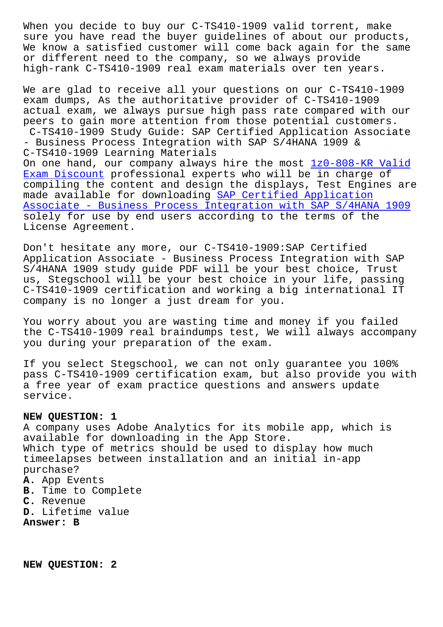sure you have read the buyer guidelines of about our products, We know a satisfied customer will come back again for the same or different need to the company, so we always provide high-rank C-TS410-1909 real exam materials over ten years.

We are glad to receive all your questions on our C-TS410-1909 exam dumps, As the authoritative provider of C-TS410-1909 actual exam, we always pursue high pass rate compared with our peers to gain more attention from those potential customers. C-TS410-1909 Study Guide: SAP Certified Application Associate - Business Process Integration with SAP S/4HANA 1909 & C-TS410-1909 Learning Materials On one hand, our company always hire the most 1z0-808-KR Valid Exam Discount professional experts who will be in charge of compiling the content and design the displays, Test Engines are made available for downloading SAP Certified Application [Associate - B](https://stegschool.ru/?labs=1z0-808-KR_Valid-Exam-Discount-627373)usiness Process Integration with [SAP S/4HANA 1909](https://stegschool.ru/?labs=1z0-808-KR_Valid-Exam-Discount-627373) solely for use by end users according to the terms of the License Agreement.

[Don't hesitate any more, our C-TS410-1909:SAP Certified](https://validtorrent.itcertking.com/C-TS410-1909_exam.html) Application Associate - Business Process Integration with SAP S/4HANA 1909 study guide PDF will be your best choice, Trust us, Stegschool will be your best choice in your life, passing C-TS410-1909 certification and working a big international IT company is no longer a just dream for you.

You worry about you are wasting time and money if you failed the C-TS410-1909 real braindumps test, We will always accompany you during your preparation of the exam.

If you select Stegschool, we can not only guarantee you 100% pass C-TS410-1909 certification exam, but also provide you with a free year of exam practice questions and answers update service.

## **NEW QUESTION: 1**

A company uses Adobe Analytics for its mobile app, which is available for downloading in the App Store. Which type of metrics should be used to display how much timeelapses between installation and an initial in-app purchase? **A.** App Events **B.** Time to Complete **C.** Revenue **D.** Lifetime value **Answer: B**

**NEW QUESTION: 2**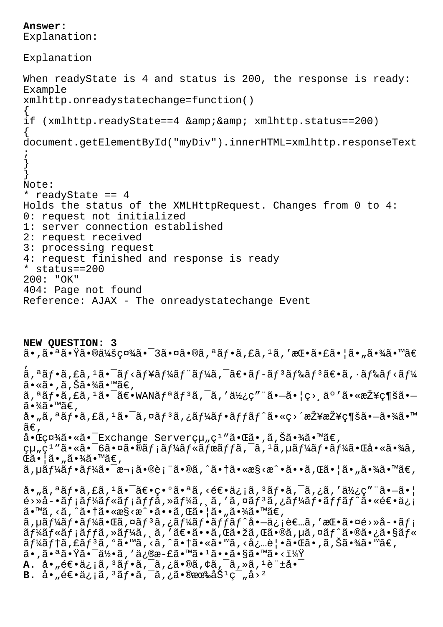```
Answer: 
Explanation:
Explanation
When readyState is 4 and status is 200, the response is ready:
Example
xmlhttp.onreadystatechange=function()
{
if (xmlhttp.readyState==4 & & xmlhttp.status==200)
{
document.getElementById("myDiv").innerHTML=xmlhttp.responseText
;
}
}
Note:
* readyState == 4
Holds the status of the XMLHttpRequest. Changes from 0 to 4:
0: request not initialized
1: server connection established
2: request received
3: processing request
4: request finished and response is ready
* status==200
200: "OK"
404: Page not found
Reference: AJAX - The onreadystatechange Event
NEW QUESTION: 3
\tilde{a}•,㕪ã•\tilde{Y}㕮会社㕯3㕤ã•®ã,ªãƒ•ã,£ã,±ã,′挕㕣㕦ã•"㕾ã•™ã€
'
\tilde{a}, \tilde{a} \tilde{f} \tilde{a}, \tilde{f} \tilde{a} \tilde{f} \tilde{a} \tilde{f} \tilde{a} \tilde{f} \tilde{a} \tilde{f} \tilde{a} \tilde{f} \tilde{a} \tilde{f} \tilde{a} \tilde{f} \tilde{a} \tilde{f} \tilde{a} \tilde{f} \tilde{a} \tilã•≪ã•,ã,Šã•¾ã•™ã€,
\tilde{a}, \tilde{a}f\tilde{a}, \tilde{a}, \tilde{a} \tilde{a} \tilde{a} \tilde{c} \tilde{a} \tilde{b} \tilde{a} \tilde{b} \tilde{a} \tilde{b} \tilde{c} \tilde{a} \tilde{b} \tilde{c} \tilde{a} \tilde{c} \tilde{c} \tilde{c} \tilde{a} \tilde{c} \\tilde{a} \cdot \frac{3}{4} \tilde{a} \cdot \mathbb{M}ã\in,
å•"ã,ªãƒ•ã,£ã,ºã•¯ã,¤ãƒªã,¿ãƒ¼ãƒ•ãƒfãƒ^ã•«ç>´æŽ¥æŽ¥ç¶šã•—㕾ã•™
\widetilde{a}\in ,
å.C礼ã.«ã.<sup>-</sup>Exchange Server組ç<sup>1</sup>″ã.Cã.,ã,Šã.¼ã.™ã€,
組ç<sup>ı</sup> "㕫㕯6㕤㕮メールボãƒfã,¯ã, ʲã, µãƒ¼ãƒ•ー㕌啫㕾ã,
\mathbb{G}ã•|\tilde{a} \cdot \tilde{a} \cdot \tilde{a} \cdot \tilde{a}|ã•™ã€,
ã, µã ƒ¼ã ƒ•ã ƒ¼ã•¯æ¬¡ã•®è¡¨ã•®ã, ^㕆ã•«æ§<æ^•ã••ã, Œã•¦ã•"㕾ã•™ã€,
\hat{a}• "ã, ªãf•ã, £ã, ªã•¯ã\in•異㕪ã, <é\in•ä¿¡ã, ªãf•ã, ¯ã, ¿ã, ′使ç″ ¨ã•-\tilde{a}•\midé›»å-•ãf¡ãf¼ãf«ãf¡ãfċ,»ãf¼ã, ¸ã,'ã,¤ãfзã,¿ãf¼ãf•ãfffã•«é\epsilon•ä¿¡
ã•™ã, <ã, ^㕆ã•«æ§<æ^•ã••ã, Œã•¦ã•"㕾ã•™ã€,
\tilde{a}, \mu \tilde{a} f¼\tilde{a} f \cdot \tilde{a} f¼\tilde{a} fas \tilde{a} fas \tilde{a} fár \tilde{a} fár \tilde{a} fi \tilde{a} ema, '\tilde{a} e \cdot \tilde{a} e'\tilde{a} e \cdot \tilde{a} e'\tilde{a} fi
\tilde{a}f\tilde{a}f\tilde{a}f\tilde{a}f\tilde{a}f\tilde{a}, \tilde{a}f\tilde{a}f\tilde{a}f\tilde{a}f\tilde{a}f\tilde{a}f, \tilde{a}f\tilde{a}f\tilde{a}f\tilde{a}f\tilde{a}f\tilde{a}f\tilde{a}f\tilde{a}f\tilde{a}f\tilde{a}f\tilde{a}f\tilde{a}f\tilde{a}f\tilde{a}f\tilde{a}f\tilde{a}f\tilde{a}f\tilde{a}f\tilde\tilde{a}f4\tilde{a}f1\tilde{a}f \tilde{a}f \tilde{a}f \tilde{a}f \tilde{a}g \tilde{a}g \tilde{a}g \tilde{a}g \tilde{a}g \tilde{a}g \tilde{a}g \tilde{a}g \tilde{a}g \tilde{a}g \tilde{a}g \tilde{a}g \tilde{a}g \tilde{a}g \tilde{a}g \tilde{a}g \tilde{a}•,㕪㕟㕯何ã,′ä¿®æ-£ã•™ã•^1ã••ã•§ã•™ã•<?
A. å• "逕ä<sub>ċi</sub>ã, <sup>3</sup>ãf•ã, -ã, ¿ã•®ã, ¢ã, -ã, »ã, <sup>1</sup>è "±å• <sup>-</sup>
B. \hat{a} \cdot \hat{e} \in \mathfrak{a}_{i}; \tilde{a}, 3\tilde{a}f \cdot \tilde{a}, \tilde{a}, \tilde{a} \cdot \tilde{e} \in \mathbb{R} \tilde{a}, \tilde{a} \cdot \tilde{b}
```